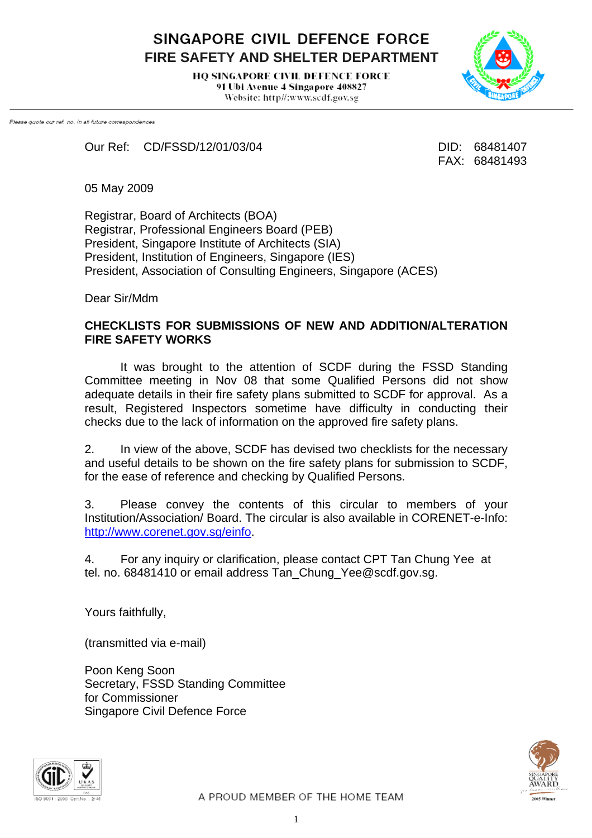SINGAPORE CIVIL DEFENCE FORCE **FIRE SAFETY AND SHELTER DEPARTMENT** 

> **HO SINGAPORE CIVIL DEFENCE FORCE** 91 Ubi Avenue 4 Singapore 408827 Website: http//:www.scdf.gov.sg



Please quote our ref. no. in all future correspondences

Our Ref: CD/FSSD/12/01/03/04 DID: 68481407

FAX: 68481493

05 May 2009

Registrar, Board of Architects (BOA) Registrar, Professional Engineers Board (PEB) President, Singapore Institute of Architects (SIA) President, Institution of Engineers, Singapore (IES) President, Association of Consulting Engineers, Singapore (ACES)

Dear Sir/Mdm

#### **CHECKLISTS FOR SUBMISSIONS OF NEW AND ADDITION/ALTERATION FIRE SAFETY WORKS**

 It was brought to the attention of SCDF during the FSSD Standing Committee meeting in Nov 08 that some Qualified Persons did not show adequate details in their fire safety plans submitted to SCDF for approval. As a result, Registered Inspectors sometime have difficulty in conducting their checks due to the lack of information on the approved fire safety plans.

2. In view of the above, SCDF has devised two checklists for the necessary and useful details to be shown on the fire safety plans for submission to SCDF, for the ease of reference and checking by Qualified Persons.

3. Please convey the contents of this circular to members of your Institution/Association/ Board. The circular is also available in CORENET-e-Info: <http://www.corenet.gov.sg/einfo>.

4. For any inquiry or clarification, please contact CPT Tan Chung Yee at tel. no. 68481410 or email address Tan\_Chung\_Yee@scdf.gov.sg.

Yours faithfully,

(transmitted via e-mail)

Poon Keng Soon Secretary, FSSD Standing Committee for Commissioner Singapore Civil Defence Force



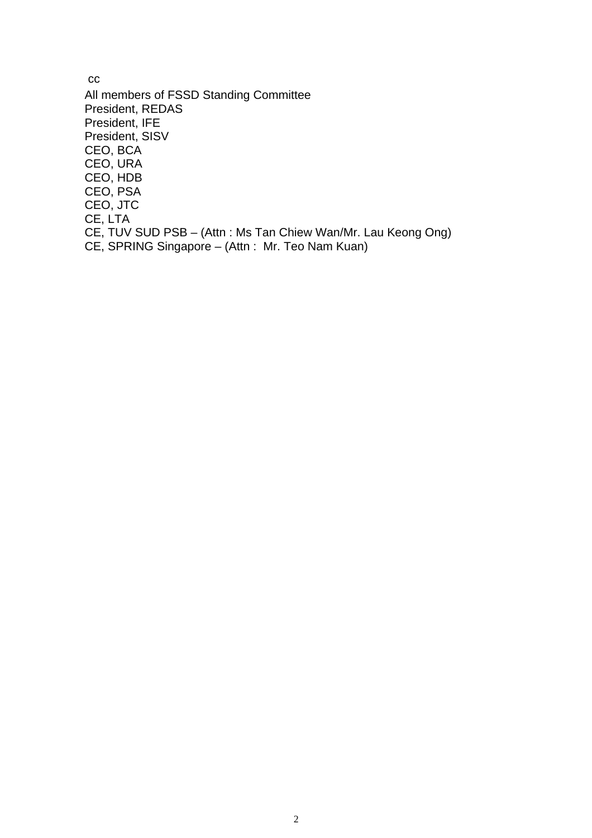cc All members of FSSD Standing Committee President, REDAS President, IFE President, SISV CEO, BCA CEO, URA CEO, HDB CEO, PSA CEO, JTC CE, LTA CE, TUV SUD PSB – (Attn : Ms Tan Chiew Wan/Mr. Lau Keong Ong) CE, SPRING Singapore – (Attn : Mr. Teo Nam Kuan)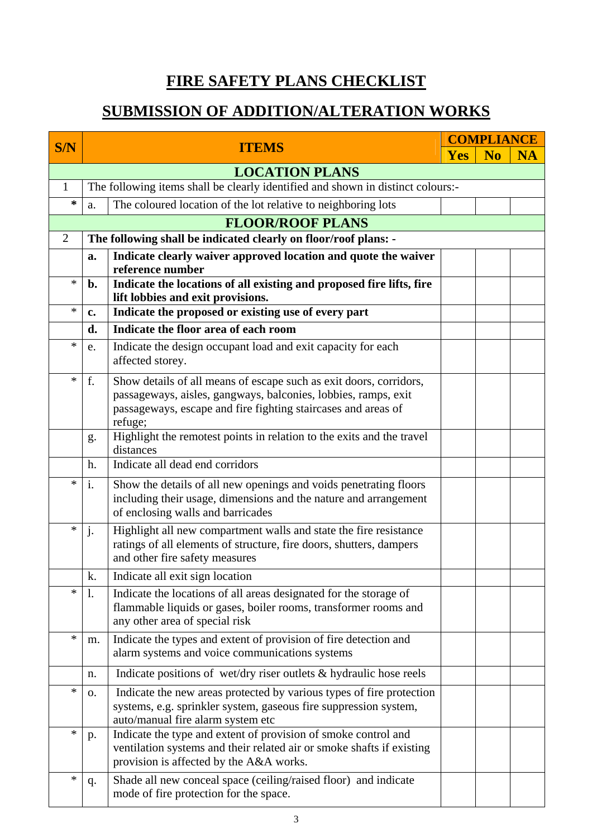### **FIRE SAFETY PLANS CHECKLIST**

# **SUBMISSION OF ADDITION/ALTERATION WORKS**

| S/N                   | <b>ITEMS</b>                                                                    |                                                                                                                                                                                                                  | <b>COMPLIANCE</b> |                |           |  |
|-----------------------|---------------------------------------------------------------------------------|------------------------------------------------------------------------------------------------------------------------------------------------------------------------------------------------------------------|-------------------|----------------|-----------|--|
|                       |                                                                                 |                                                                                                                                                                                                                  | <b>Yes</b>        | N <sub>0</sub> | <b>NA</b> |  |
| <b>LOCATION PLANS</b> |                                                                                 |                                                                                                                                                                                                                  |                   |                |           |  |
| $\mathbf{1}$          | The following items shall be clearly identified and shown in distinct colours:- |                                                                                                                                                                                                                  |                   |                |           |  |
| ∗                     | a.                                                                              | The coloured location of the lot relative to neighboring lots                                                                                                                                                    |                   |                |           |  |
|                       |                                                                                 | <b>FLOOR/ROOF PLANS</b>                                                                                                                                                                                          |                   |                |           |  |
| $\overline{2}$        |                                                                                 | The following shall be indicated clearly on floor/roof plans: -                                                                                                                                                  |                   |                |           |  |
|                       | a.                                                                              | Indicate clearly waiver approved location and quote the waiver<br>reference number                                                                                                                               |                   |                |           |  |
| *                     | b.                                                                              | Indicate the locations of all existing and proposed fire lifts, fire<br>lift lobbies and exit provisions.                                                                                                        |                   |                |           |  |
| *                     | c.                                                                              | Indicate the proposed or existing use of every part                                                                                                                                                              |                   |                |           |  |
|                       | d.                                                                              | Indicate the floor area of each room                                                                                                                                                                             |                   |                |           |  |
| *                     | e.                                                                              | Indicate the design occupant load and exit capacity for each<br>affected storey.                                                                                                                                 |                   |                |           |  |
| *                     | f.                                                                              | Show details of all means of escape such as exit doors, corridors,<br>passageways, aisles, gangways, balconies, lobbies, ramps, exit<br>passageways, escape and fire fighting staircases and areas of<br>refuge; |                   |                |           |  |
|                       | g.                                                                              | Highlight the remotest points in relation to the exits and the travel<br>distances                                                                                                                               |                   |                |           |  |
|                       | h.                                                                              | Indicate all dead end corridors                                                                                                                                                                                  |                   |                |           |  |
| *                     | i.                                                                              | Show the details of all new openings and voids penetrating floors<br>including their usage, dimensions and the nature and arrangement<br>of enclosing walls and barricades                                       |                   |                |           |  |
| *                     | j.                                                                              | Highlight all new compartment walls and state the fire resistance<br>ratings of all elements of structure, fire doors, shutters, dampers<br>and other fire safety measures                                       |                   |                |           |  |
|                       | k.                                                                              | Indicate all exit sign location                                                                                                                                                                                  |                   |                |           |  |
| $\ast$                | 1.                                                                              | Indicate the locations of all areas designated for the storage of<br>flammable liquids or gases, boiler rooms, transformer rooms and<br>any other area of special risk                                           |                   |                |           |  |
| *                     | m.                                                                              | Indicate the types and extent of provision of fire detection and<br>alarm systems and voice communications systems                                                                                               |                   |                |           |  |
|                       | n.                                                                              | Indicate positions of wet/dry riser outlets & hydraulic hose reels                                                                                                                                               |                   |                |           |  |
| $\ast$                | 0.                                                                              | Indicate the new areas protected by various types of fire protection<br>systems, e.g. sprinkler system, gaseous fire suppression system,<br>auto/manual fire alarm system etc                                    |                   |                |           |  |
| *                     | p.                                                                              | Indicate the type and extent of provision of smoke control and<br>ventilation systems and their related air or smoke shafts if existing<br>provision is affected by the A&A works.                               |                   |                |           |  |
| *                     | q.                                                                              | Shade all new conceal space (ceiling/raised floor) and indicate<br>mode of fire protection for the space.                                                                                                        |                   |                |           |  |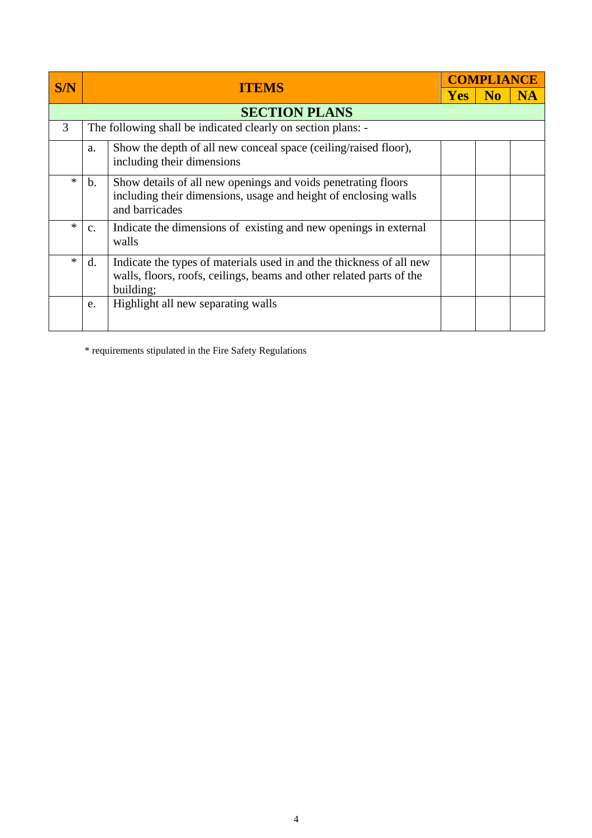| S/N    |                                                              |                                                                                                                                                           | <b>COMPLIANCE</b> |  |    |  |  |
|--------|--------------------------------------------------------------|-----------------------------------------------------------------------------------------------------------------------------------------------------------|-------------------|--|----|--|--|
|        | <b>ITEMS</b>                                                 |                                                                                                                                                           | <b>Yes</b>        |  | NA |  |  |
|        | <b>SECTION PLANS</b>                                         |                                                                                                                                                           |                   |  |    |  |  |
| 3      | The following shall be indicated clearly on section plans: - |                                                                                                                                                           |                   |  |    |  |  |
|        | a.                                                           | Show the depth of all new conceal space (ceiling/raised floor),<br>including their dimensions                                                             |                   |  |    |  |  |
| $\ast$ | $\mathbf{b}$ .                                               | Show details of all new openings and voids penetrating floors<br>including their dimensions, usage and height of enclosing walls<br>and barricades        |                   |  |    |  |  |
| *      | $\mathbf{c}$ .<br>walls                                      | Indicate the dimensions of existing and new openings in external                                                                                          |                   |  |    |  |  |
| $\ast$ | d.                                                           | Indicate the types of materials used in and the thickness of all new<br>walls, floors, roofs, ceilings, beams and other related parts of the<br>building; |                   |  |    |  |  |
|        | e.                                                           | Highlight all new separating walls                                                                                                                        |                   |  |    |  |  |

\* requirements stipulated in the Fire Safety Regulations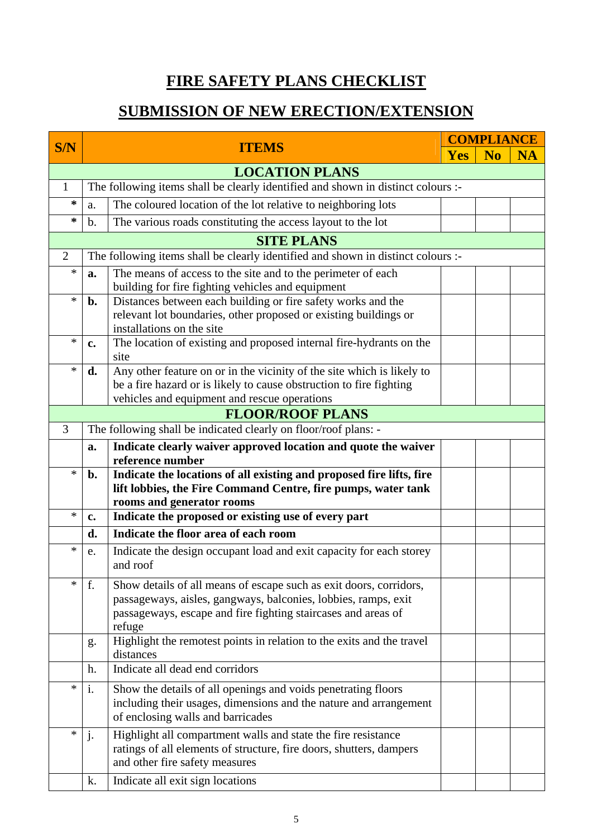# **FIRE SAFETY PLANS CHECKLIST**

#### **SUBMISSION OF NEW ERECTION/EXTENSION**

| S/N            |                                                                                  |                                                                                                                                                                                                                 | <b>COMPLIANCE</b> |                |    |  |  |  |
|----------------|----------------------------------------------------------------------------------|-----------------------------------------------------------------------------------------------------------------------------------------------------------------------------------------------------------------|-------------------|----------------|----|--|--|--|
|                |                                                                                  | <b>ITEMS</b>                                                                                                                                                                                                    | <b>Yes</b>        | N <sub>0</sub> | NA |  |  |  |
|                | <b>LOCATION PLANS</b>                                                            |                                                                                                                                                                                                                 |                   |                |    |  |  |  |
| $\mathbf{1}$   | The following items shall be clearly identified and shown in distinct colours :- |                                                                                                                                                                                                                 |                   |                |    |  |  |  |
| ∗              | a.                                                                               | The coloured location of the lot relative to neighboring lots                                                                                                                                                   |                   |                |    |  |  |  |
| *              | b.                                                                               | The various roads constituting the access layout to the lot                                                                                                                                                     |                   |                |    |  |  |  |
|                | <b>SITE PLANS</b>                                                                |                                                                                                                                                                                                                 |                   |                |    |  |  |  |
| $\overline{2}$ |                                                                                  | The following items shall be clearly identified and shown in distinct colours :-                                                                                                                                |                   |                |    |  |  |  |
| $\ast$         | a.                                                                               | The means of access to the site and to the perimeter of each<br>building for fire fighting vehicles and equipment                                                                                               |                   |                |    |  |  |  |
| $\ast$         | $\mathbf{b}$ .                                                                   | Distances between each building or fire safety works and the<br>relevant lot boundaries, other proposed or existing buildings or<br>installations on the site                                                   |                   |                |    |  |  |  |
| $\ast$         | c.                                                                               | The location of existing and proposed internal fire-hydrants on the<br>site                                                                                                                                     |                   |                |    |  |  |  |
| $\ast$         | d.                                                                               | Any other feature on or in the vicinity of the site which is likely to<br>be a fire hazard or is likely to cause obstruction to fire fighting<br>vehicles and equipment and rescue operations                   |                   |                |    |  |  |  |
|                |                                                                                  | <b>FLOOR/ROOF PLANS</b>                                                                                                                                                                                         |                   |                |    |  |  |  |
| 3              |                                                                                  | The following shall be indicated clearly on floor/roof plans: -                                                                                                                                                 |                   |                |    |  |  |  |
|                | a.                                                                               | Indicate clearly waiver approved location and quote the waiver<br>reference number                                                                                                                              |                   |                |    |  |  |  |
| $\ast$         | b.                                                                               | Indicate the locations of all existing and proposed fire lifts, fire<br>lift lobbies, the Fire Command Centre, fire pumps, water tank<br>rooms and generator rooms                                              |                   |                |    |  |  |  |
| $\ast$         | c.                                                                               | Indicate the proposed or existing use of every part                                                                                                                                                             |                   |                |    |  |  |  |
|                | d.                                                                               | Indicate the floor area of each room                                                                                                                                                                            |                   |                |    |  |  |  |
| $\ast$         | e.                                                                               | Indicate the design occupant load and exit capacity for each storey<br>and roof                                                                                                                                 |                   |                |    |  |  |  |
| *              | f.                                                                               | Show details of all means of escape such as exit doors, corridors,<br>passageways, aisles, gangways, balconies, lobbies, ramps, exit<br>passageways, escape and fire fighting staircases and areas of<br>refuge |                   |                |    |  |  |  |
|                | g.                                                                               | Highlight the remotest points in relation to the exits and the travel<br>distances                                                                                                                              |                   |                |    |  |  |  |
|                | h.                                                                               | Indicate all dead end corridors                                                                                                                                                                                 |                   |                |    |  |  |  |
| *              | i.                                                                               | Show the details of all openings and voids penetrating floors<br>including their usages, dimensions and the nature and arrangement<br>of enclosing walls and barricades                                         |                   |                |    |  |  |  |
| *              | j.                                                                               | Highlight all compartment walls and state the fire resistance<br>ratings of all elements of structure, fire doors, shutters, dampers<br>and other fire safety measures                                          |                   |                |    |  |  |  |
|                | k.                                                                               | Indicate all exit sign locations                                                                                                                                                                                |                   |                |    |  |  |  |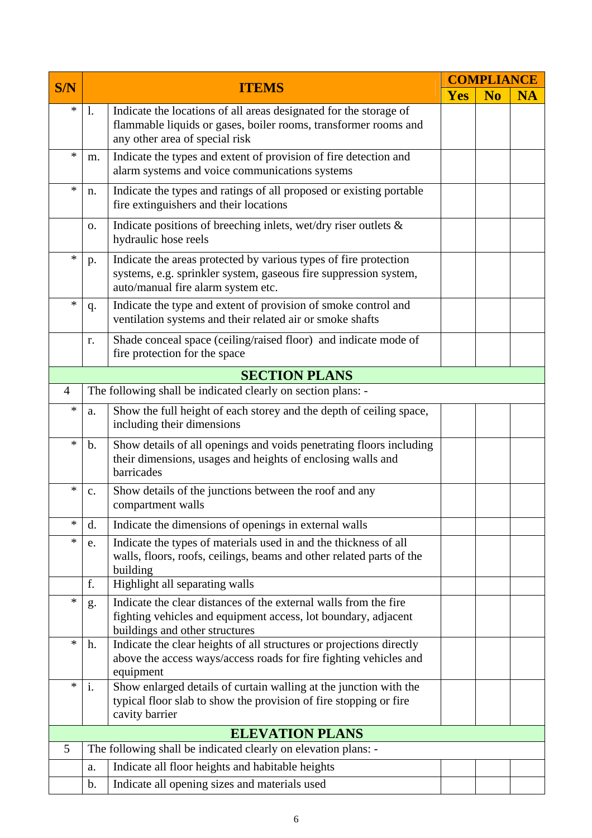|                |                |                                                                                                                                                                            |            |           | <b>COMPLIANCE</b> |  |  |
|----------------|----------------|----------------------------------------------------------------------------------------------------------------------------------------------------------------------------|------------|-----------|-------------------|--|--|
| <b>S/N</b>     |                | <b>ITEMS</b>                                                                                                                                                               | <b>Yes</b> | <b>No</b> | <b>NA</b>         |  |  |
| *              | 1.             | Indicate the locations of all areas designated for the storage of<br>flammable liquids or gases, boiler rooms, transformer rooms and<br>any other area of special risk     |            |           |                   |  |  |
| *              | m.             | Indicate the types and extent of provision of fire detection and<br>alarm systems and voice communications systems                                                         |            |           |                   |  |  |
| *              | n.             | Indicate the types and ratings of all proposed or existing portable<br>fire extinguishers and their locations                                                              |            |           |                   |  |  |
|                | 0.             | Indicate positions of breeching inlets, wet/dry riser outlets $\&$<br>hydraulic hose reels                                                                                 |            |           |                   |  |  |
| $\ast$         | p.             | Indicate the areas protected by various types of fire protection<br>systems, e.g. sprinkler system, gaseous fire suppression system,<br>auto/manual fire alarm system etc. |            |           |                   |  |  |
| $\ast$         | q.             | Indicate the type and extent of provision of smoke control and<br>ventilation systems and their related air or smoke shafts                                                |            |           |                   |  |  |
|                | r.             | Shade conceal space (ceiling/raised floor) and indicate mode of<br>fire protection for the space                                                                           |            |           |                   |  |  |
|                |                | <b>SECTION PLANS</b>                                                                                                                                                       |            |           |                   |  |  |
| $\overline{4}$ |                | The following shall be indicated clearly on section plans: -                                                                                                               |            |           |                   |  |  |
| *              | a.             | Show the full height of each storey and the depth of ceiling space,<br>including their dimensions                                                                          |            |           |                   |  |  |
| *              | $\mathbf{b}$ . | Show details of all openings and voids penetrating floors including<br>their dimensions, usages and heights of enclosing walls and<br>barricades                           |            |           |                   |  |  |
| *              | $\mathbf{c}$ . | Show details of the junctions between the roof and any<br>compartment walls                                                                                                |            |           |                   |  |  |
| *              | d.             | Indicate the dimensions of openings in external walls                                                                                                                      |            |           |                   |  |  |
| *              | e.             | Indicate the types of materials used in and the thickness of all<br>walls, floors, roofs, ceilings, beams and other related parts of the<br>building                       |            |           |                   |  |  |
|                | f.             | Highlight all separating walls                                                                                                                                             |            |           |                   |  |  |
| *              | g.             | Indicate the clear distances of the external walls from the fire<br>fighting vehicles and equipment access, lot boundary, adjacent<br>buildings and other structures       |            |           |                   |  |  |
| *              | h.             | Indicate the clear heights of all structures or projections directly<br>above the access ways/access roads for fire fighting vehicles and<br>equipment                     |            |           |                   |  |  |
| *              | i.             | Show enlarged details of curtain walling at the junction with the<br>typical floor slab to show the provision of fire stopping or fire<br>cavity barrier                   |            |           |                   |  |  |
|                |                | <b>ELEVATION PLANS</b>                                                                                                                                                     |            |           |                   |  |  |
| 5              |                | The following shall be indicated clearly on elevation plans: -                                                                                                             |            |           |                   |  |  |
|                | a.             | Indicate all floor heights and habitable heights                                                                                                                           |            |           |                   |  |  |
|                | b.             | Indicate all opening sizes and materials used                                                                                                                              |            |           |                   |  |  |